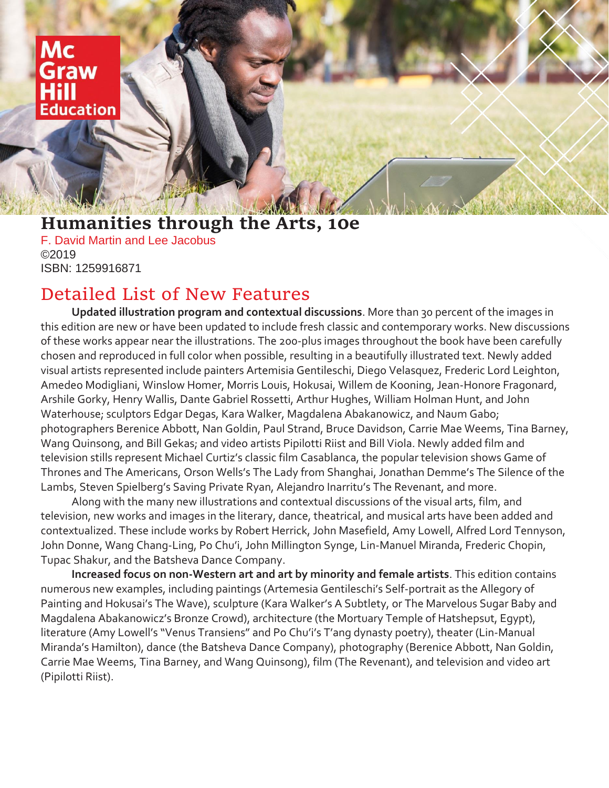## Mc Graw **Education**

## **Humanities through the Arts, 10e**

F. David Martin and Lee Jacobus ©2019 ISBN: 1259916871

## Detailed List of New Features

**Updated illustration program and contextual discussions**. More than 30 percent of the images in this edition are new or have been updated to include fresh classic and contemporary works. New discussions of these works appear near the illustrations. The 200-plus images throughout the book have been carefully chosen and reproduced in full color when possible, resulting in a beautifully illustrated text. Newly added visual artists represented include painters Artemisia Gentileschi, Diego Velasquez, Frederic Lord Leighton, Amedeo Modigliani, Winslow Homer, Morris Louis, Hokusai, Willem de Kooning, Jean-Honore Fragonard, Arshile Gorky, Henry Wallis, Dante Gabriel Rossetti, Arthur Hughes, William Holman Hunt, and John Waterhouse; sculptors Edgar Degas, Kara Walker, Magdalena Abakanowicz, and Naum Gabo; photographers Berenice Abbott, Nan Goldin, Paul Strand, Bruce Davidson, Carrie Mae Weems, Tina Barney, Wang Quinsong, and Bill Gekas; and video artists Pipilotti Riist and Bill Viola. Newly added film and television stills represent Michael Curtiz's classic film Casablanca, the popular television shows Game of Thrones and The Americans, Orson Wells's The Lady from Shanghai, Jonathan Demme's The Silence of the Lambs, Steven Spielberg's Saving Private Ryan, Alejandro Inarritu's The Revenant, and more.

Along with the many new illustrations and contextual discussions of the visual arts, film, and television, new works and images in the literary, dance, theatrical, and musical arts have been added and contextualized. These include works by Robert Herrick, John Masefield, Amy Lowell, Alfred Lord Tennyson, John Donne, Wang Chang-Ling, Po Chu'i, John Millington Synge, Lin-Manuel Miranda, Frederic Chopin, Tupac Shakur, and the Batsheva Dance Company.

**Increased focus on non-Western art and art by minority and female artists**. This edition contains numerous new examples, including paintings (Artemesia Gentileschi's Self-portrait as the Allegory of Painting and Hokusai's The Wave), sculpture (Kara Walker's A Subtlety, or The Marvelous Sugar Baby and Magdalena Abakanowicz's Bronze Crowd), architecture (the Mortuary Temple of Hatshepsut, Egypt), literature (Amy Lowell's "Venus Transiens" and Po Chu'i's T'ang dynasty poetry), theater (Lin-Manual Miranda's Hamilton), dance (the Batsheva Dance Company), photography (Berenice Abbott, Nan Goldin, Carrie Mae Weems, Tina Barney, and Wang Quinsong), film (The Revenant), and television and video art (Pipilotti Riist).